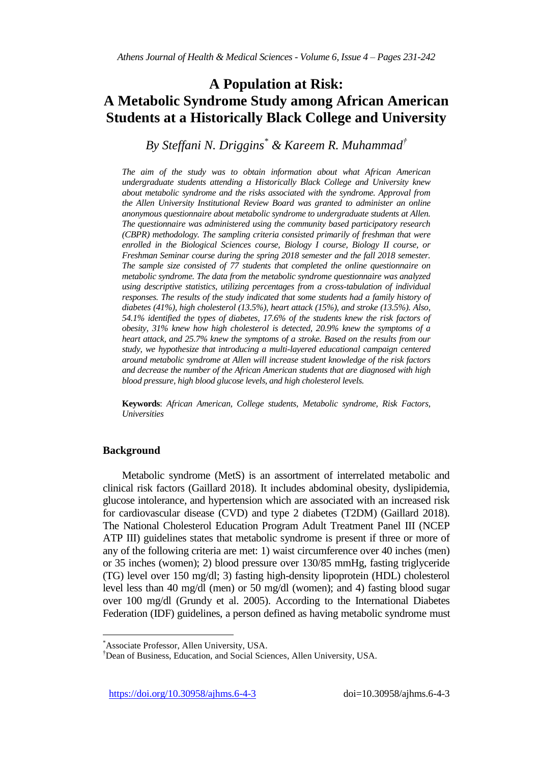# **A Population at Risk: A Metabolic Syndrome Study among African American Students at a Historically Black College and University**

*By Steffani N. Driggins\* & Kareem R. Muhammad†*

*The aim of the study was to obtain information about what African American undergraduate students attending a Historically Black College and University knew about metabolic syndrome and the risks associated with the syndrome. Approval from the Allen University Institutional Review Board was granted to administer an online anonymous questionnaire about metabolic syndrome to undergraduate students at Allen. The questionnaire was administered using the community based participatory research (CBPR) methodology. The sampling criteria consisted primarily of freshman that were enrolled in the Biological Sciences course, Biology I course, Biology II course, or Freshman Seminar course during the spring 2018 semester and the fall 2018 semester. The sample size consisted of 77 students that completed the online questionnaire on metabolic syndrome. The data from the metabolic syndrome questionnaire was analyzed using descriptive statistics, utilizing percentages from a cross-tabulation of individual responses. The results of the study indicated that some students had a family history of diabetes (41%), high cholesterol (13.5%), heart attack (15%), and stroke (13.5%). Also, 54.1% identified the types of diabetes, 17.6% of the students knew the risk factors of obesity, 31% knew how high cholesterol is detected, 20.9% knew the symptoms of a heart attack, and 25.7% knew the symptoms of a stroke. Based on the results from our study, we hypothesize that introducing a multi-layered educational campaign centered around metabolic syndrome at Allen will increase student knowledge of the risk factors and decrease the number of the African American students that are diagnosed with high blood pressure, high blood glucose levels, and high cholesterol levels.*

**Keywords**: *African American, College students, Metabolic syndrome, Risk Factors, Universities*

# **Background**

Metabolic syndrome (MetS) is an assortment of interrelated metabolic and clinical risk factors (Gaillard 2018). It includes abdominal obesity, dyslipidemia, glucose intolerance, and hypertension which are associated with an increased risk for cardiovascular disease (CVD) and type 2 diabetes (T2DM) (Gaillard 2018). The National Cholesterol Education Program Adult Treatment Panel III (NCEP ATP III) guidelines states that metabolic syndrome is present if three or more of any of the following criteria are met: 1) waist circumference over 40 inches (men) or 35 inches (women); 2) blood pressure over 130/85 mmHg, fasting triglyceride (TG) level over 150 mg/dl; 3) fasting high-density lipoprotein (HDL) cholesterol level less than 40 mg/dl (men) or 50 mg/dl (women); and 4) fasting blood sugar over 100 mg/dl (Grundy et al. 2005). According to the International Diabetes Federation (IDF) guidelines, a person defined as having metabolic syndrome must

https://doi.org/10.30958/ajhms.6-4-3 doi=10.30958/ajhms.6-4-3

<sup>\*</sup>Associate Professor, Allen University, USA.

<sup>†</sup>Dean of Business, Education, and Social Sciences, Allen University, USA.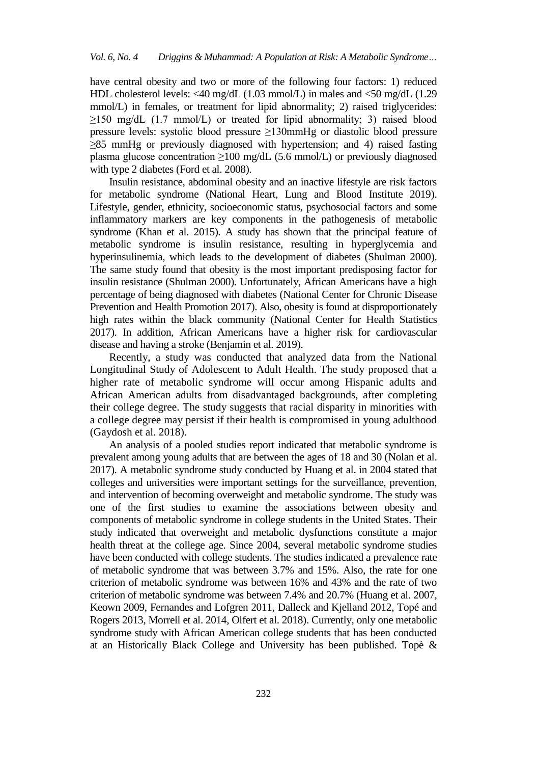have central obesity and two or more of the following four factors: 1) reduced HDL cholesterol levels: <40 mg/dL (1.03 mmol/L) in males and <50 mg/dL (1.29 mmol/L) in females, or treatment for lipid abnormality; 2) raised triglycerides:  $\geq$ 150 mg/dL (1.7 mmol/L) or treated for lipid abnormality; 3) raised blood pressure levels: systolic blood pressure ≥130mmHg or diastolic blood pressure ≥85 mmHg or previously diagnosed with hypertension; and 4) raised fasting plasma glucose concentration  $\geq 100$  mg/dL (5.6 mmol/L) or previously diagnosed with type 2 diabetes (Ford et al. 2008).

Insulin resistance, abdominal obesity and an inactive lifestyle are risk factors for metabolic syndrome (National Heart, Lung and Blood Institute 2019). Lifestyle, gender, ethnicity, socioeconomic status, psychosocial factors and some inflammatory markers are key components in the pathogenesis of metabolic syndrome (Khan et al. 2015). A study has shown that the principal feature of metabolic syndrome is insulin resistance, resulting in hyperglycemia and hyperinsulinemia, which leads to the development of diabetes (Shulman 2000). The same study found that obesity is the most important predisposing factor for insulin resistance (Shulman 2000). Unfortunately, African Americans have a high percentage of being diagnosed with diabetes (National Center for Chronic Disease Prevention and Health Promotion 2017). Also, obesity is found at disproportionately high rates within the black community (National Center for Health Statistics 2017). In addition, African Americans have a higher risk for cardiovascular disease and having a stroke (Benjamin et al. 2019).

Recently, a study was conducted that analyzed data from the National Longitudinal Study of Adolescent to Adult Health. The study proposed that a higher rate of metabolic syndrome will occur among Hispanic adults and African American adults from disadvantaged backgrounds, after completing their college degree. The study suggests that racial disparity in minorities with a college degree may persist if their health is compromised in young adulthood (Gaydosh et al. 2018).

An analysis of a pooled studies report indicated that metabolic syndrome is prevalent among young adults that are between the ages of 18 and 30 (Nolan et al. 2017). A metabolic syndrome study conducted by Huang et al. in 2004 stated that colleges and universities were important settings for the surveillance, prevention, and intervention of becoming overweight and metabolic syndrome. The study was one of the first studies to examine the associations between obesity and components of metabolic syndrome in college students in the United States. Their study indicated that overweight and metabolic dysfunctions constitute a major health threat at the college age. Since 2004, several metabolic syndrome studies have been conducted with college students. The studies indicated a prevalence rate of metabolic syndrome that was between 3.7% and 15%. Also, the rate for one criterion of metabolic syndrome was between 16% and 43% and the rate of two criterion of metabolic syndrome was between 7.4% and 20.7% (Huang et al. 2007, Keown 2009, Fernandes and Lofgren 2011, Dalleck and Kjelland 2012, Topé and Rogers 2013, Morrell et al. 2014, Olfert et al. 2018). Currently, only one metabolic syndrome study with African American college students that has been conducted at an Historically Black College and University has been published. Topè &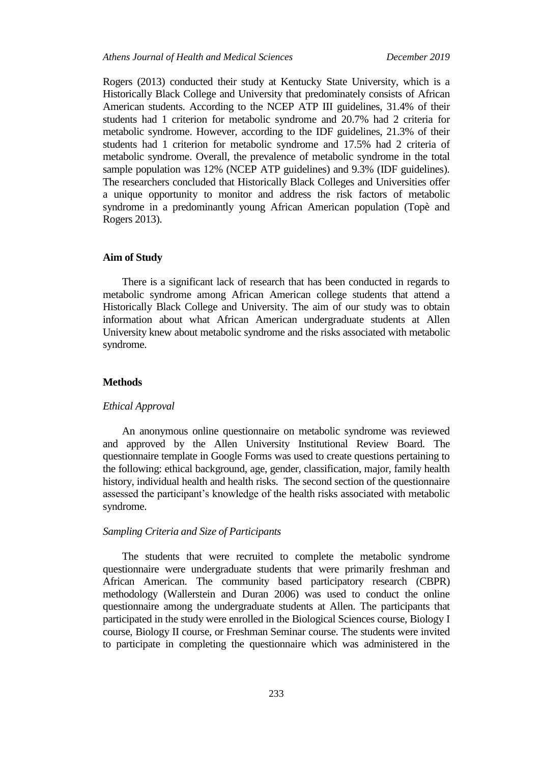Rogers (2013) conducted their study at Kentucky State University, which is a Historically Black College and University that predominately consists of African American students. According to the NCEP ATP III guidelines, 31.4% of their students had 1 criterion for metabolic syndrome and 20.7% had 2 criteria for metabolic syndrome. However, according to the IDF guidelines, 21.3% of their students had 1 criterion for metabolic syndrome and 17.5% had 2 criteria of metabolic syndrome. Overall, the prevalence of metabolic syndrome in the total sample population was 12% (NCEP ATP guidelines) and 9.3% (IDF guidelines). The researchers concluded that Historically Black Colleges and Universities offer a unique opportunity to monitor and address the risk factors of metabolic syndrome in a predominantly young African American population (Topè and Rogers 2013).

# **Aim of Study**

There is a significant lack of research that has been conducted in regards to metabolic syndrome among African American college students that attend a Historically Black College and University. The aim of our study was to obtain information about what African American undergraduate students at Allen University knew about metabolic syndrome and the risks associated with metabolic syndrome.

## **Methods**

#### *Ethical Approval*

An anonymous online questionnaire on metabolic syndrome was reviewed and approved by the Allen University Institutional Review Board. The questionnaire template in Google Forms was used to create questions pertaining to the following: ethical background, age, gender, classification, major, family health history, individual health and health risks. The second section of the questionnaire assessed the participant's knowledge of the health risks associated with metabolic syndrome.

# *Sampling Criteria and Size of Participants*

The students that were recruited to complete the metabolic syndrome questionnaire were undergraduate students that were primarily freshman and African American. The community based participatory research (CBPR) methodology (Wallerstein and Duran 2006) was used to conduct the online questionnaire among the undergraduate students at Allen. The participants that participated in the study were enrolled in the Biological Sciences course, Biology I course, Biology II course, or Freshman Seminar course. The students were invited to participate in completing the questionnaire which was administered in the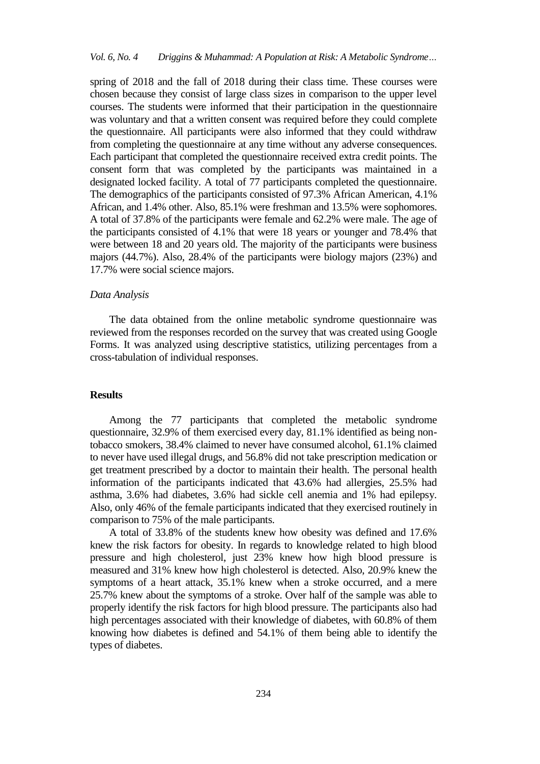spring of 2018 and the fall of 2018 during their class time. These courses were chosen because they consist of large class sizes in comparison to the upper level courses. The students were informed that their participation in the questionnaire was voluntary and that a written consent was required before they could complete the questionnaire. All participants were also informed that they could withdraw from completing the questionnaire at any time without any adverse consequences. Each participant that completed the questionnaire received extra credit points. The consent form that was completed by the participants was maintained in a designated locked facility. A total of 77 participants completed the questionnaire. The demographics of the participants consisted of 97.3% African American, 4.1% African, and 1.4% other. Also, 85.1% were freshman and 13.5% were sophomores. A total of 37.8% of the participants were female and 62.2% were male. The age of the participants consisted of 4.1% that were 18 years or younger and 78.4% that were between 18 and 20 years old. The majority of the participants were business majors (44.7%). Also, 28.4% of the participants were biology majors (23%) and 17.7% were social science majors.

#### *Data Analysis*

The data obtained from the online metabolic syndrome questionnaire was reviewed from the responses recorded on the survey that was created using Google Forms. It was analyzed using descriptive statistics, utilizing percentages from a cross-tabulation of individual responses.

## **Results**

Among the 77 participants that completed the metabolic syndrome questionnaire, 32.9% of them exercised every day, 81.1% identified as being nontobacco smokers, 38.4% claimed to never have consumed alcohol, 61.1% claimed to never have used illegal drugs, and 56.8% did not take prescription medication or get treatment prescribed by a doctor to maintain their health. The personal health information of the participants indicated that 43.6% had allergies, 25.5% had asthma, 3.6% had diabetes, 3.6% had sickle cell anemia and 1% had epilepsy. Also, only 46% of the female participants indicated that they exercised routinely in comparison to 75% of the male participants.

A total of 33.8% of the students knew how obesity was defined and 17.6% knew the risk factors for obesity. In regards to knowledge related to high blood pressure and high cholesterol, just 23% knew how high blood pressure is measured and 31% knew how high cholesterol is detected. Also, 20.9% knew the symptoms of a heart attack, 35.1% knew when a stroke occurred, and a mere 25.7% knew about the symptoms of a stroke. Over half of the sample was able to properly identify the risk factors for high blood pressure. The participants also had high percentages associated with their knowledge of diabetes, with 60.8% of them knowing how diabetes is defined and 54.1% of them being able to identify the types of diabetes.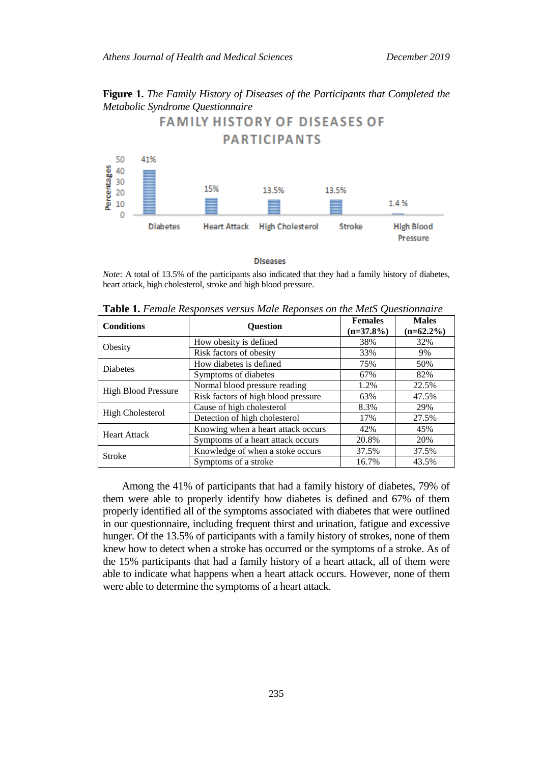**Figure 1.** *The Family History of Diseases of the Participants that Completed the Metabolic Syndrome Questionnaire*



**Diseases** 

*Note*: A total of 13.5% of the participants also indicated that they had a family history of diabetes, heart attack, high cholesterol, stroke and high blood pressure.

| <b>Conditions</b>          | <b>Ouestion</b>                     | <b>Females</b><br>$(n=37.8\%)$ | <b>Males</b><br>$(n=62.2\%)$ |
|----------------------------|-------------------------------------|--------------------------------|------------------------------|
| Obesity                    | How obesity is defined              | 38%                            | 32%                          |
|                            | Risk factors of obesity             | 33%                            | 9%                           |
| <b>Diabetes</b>            | How diabetes is defined             | 75%                            | 50%                          |
|                            | Symptoms of diabetes                | 67%                            | 82%                          |
| <b>High Blood Pressure</b> | Normal blood pressure reading       | 1.2%                           | 22.5%                        |
|                            | Risk factors of high blood pressure | 63%                            | 47.5%                        |
| High Cholesterol           | Cause of high cholesterol           | 8.3%                           | 29%                          |
|                            | Detection of high cholesterol       | 17%                            | 27.5%                        |
| <b>Heart Attack</b>        | Knowing when a heart attack occurs  | 42%                            | 45%                          |
|                            | Symptoms of a heart attack occurs   | 20.8%                          | 20%                          |
| Stroke                     | Knowledge of when a stoke occurs    | 37.5%                          | 37.5%                        |
|                            | Symptoms of a stroke                | 16.7%                          | 43.5%                        |

**Table 1.** *Female Responses versus Male Reponses on the MetS Questionnaire*

Among the 41% of participants that had a family history of diabetes, 79% of them were able to properly identify how diabetes is defined and 67% of them properly identified all of the symptoms associated with diabetes that were outlined in our questionnaire, including frequent thirst and urination, fatigue and excessive hunger. Of the 13.5% of participants with a family history of strokes, none of them knew how to detect when a stroke has occurred or the symptoms of a stroke. As of the 15% participants that had a family history of a heart attack, all of them were able to indicate what happens when a heart attack occurs. However, none of them were able to determine the symptoms of a heart attack.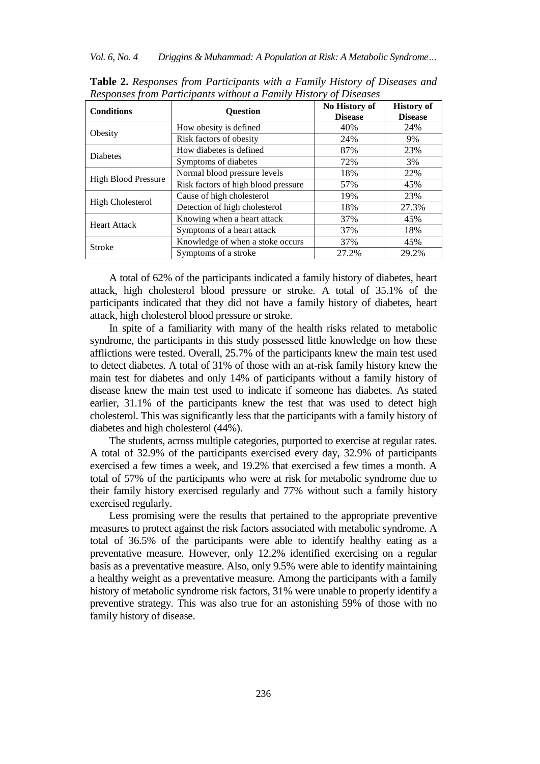| <b>Conditions</b>          | <b>Question</b>                     | No History of<br><b>Disease</b> | <b>History of</b><br><b>Disease</b> |
|----------------------------|-------------------------------------|---------------------------------|-------------------------------------|
| Obesity                    | How obesity is defined              | 40%                             | 24%                                 |
|                            | Risk factors of obesity             | 24%                             | 9%                                  |
| <b>Diabetes</b>            | How diabetes is defined             | 87%                             | 23%                                 |
|                            | Symptoms of diabetes                | 72%                             | 3%                                  |
| <b>High Blood Pressure</b> | Normal blood pressure levels        | 18%                             | 22%                                 |
|                            | Risk factors of high blood pressure | 57%                             | 45%                                 |
| High Cholesterol           | Cause of high cholesterol           | 19%                             | 23%                                 |
|                            | Detection of high cholesterol       | 18%                             | 27.3%                               |
| <b>Heart Attack</b>        | Knowing when a heart attack         | 37%                             | 45%                                 |
|                            | Symptoms of a heart attack          | 37%                             | 18%                                 |
| <b>Stroke</b>              | Knowledge of when a stoke occurs    | 37%                             | 45%                                 |
|                            | Symptoms of a stroke                | 27.2%                           | 29.2%                               |

**Table 2.** *Responses from Participants with a Family History of Diseases and Responses from Participants without a Family History of Diseases*

A total of 62% of the participants indicated a family history of diabetes, heart attack, high cholesterol blood pressure or stroke. A total of 35.1% of the participants indicated that they did not have a family history of diabetes, heart attack, high cholesterol blood pressure or stroke.

In spite of a familiarity with many of the health risks related to metabolic syndrome, the participants in this study possessed little knowledge on how these afflictions were tested. Overall, 25.7% of the participants knew the main test used to detect diabetes. A total of 31% of those with an at-risk family history knew the main test for diabetes and only 14% of participants without a family history of disease knew the main test used to indicate if someone has diabetes. As stated earlier, 31.1% of the participants knew the test that was used to detect high cholesterol. This was significantly less that the participants with a family history of diabetes and high cholesterol (44%).

The students, across multiple categories, purported to exercise at regular rates. A total of 32.9% of the participants exercised every day, 32.9% of participants exercised a few times a week, and 19.2% that exercised a few times a month. A total of 57% of the participants who were at risk for metabolic syndrome due to their family history exercised regularly and 77% without such a family history exercised regularly.

Less promising were the results that pertained to the appropriate preventive measures to protect against the risk factors associated with metabolic syndrome. A total of 36.5% of the participants were able to identify healthy eating as a preventative measure. However, only 12.2% identified exercising on a regular basis as a preventative measure. Also, only 9.5% were able to identify maintaining a healthy weight as a preventative measure. Among the participants with a family history of metabolic syndrome risk factors, 31% were unable to properly identify a preventive strategy. This was also true for an astonishing 59% of those with no family history of disease.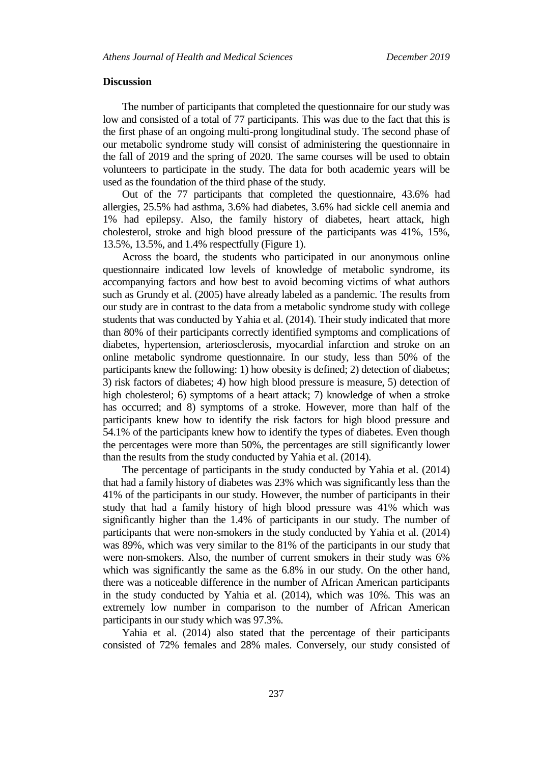#### **Discussion**

The number of participants that completed the questionnaire for our study was low and consisted of a total of 77 participants. This was due to the fact that this is the first phase of an ongoing multi-prong longitudinal study. The second phase of our metabolic syndrome study will consist of administering the questionnaire in the fall of 2019 and the spring of 2020. The same courses will be used to obtain volunteers to participate in the study. The data for both academic years will be used as the foundation of the third phase of the study.

Out of the 77 participants that completed the questionnaire, 43.6% had allergies, 25.5% had asthma, 3.6% had diabetes, 3.6% had sickle cell anemia and 1% had epilepsy. Also, the family history of diabetes, heart attack, high cholesterol, stroke and high blood pressure of the participants was 41%, 15%, 13.5%, 13.5%, and 1.4% respectfully (Figure 1).

Across the board, the students who participated in our anonymous online questionnaire indicated low levels of knowledge of metabolic syndrome, its accompanying factors and how best to avoid becoming victims of what authors such as Grundy et al. (2005) have already labeled as a pandemic. The results from our study are in contrast to the data from a metabolic syndrome study with college students that was conducted by Yahia et al. (2014). Their study indicated that more than 80% of their participants correctly identified symptoms and complications of diabetes, hypertension, arteriosclerosis, myocardial infarction and stroke on an online metabolic syndrome questionnaire. In our study, less than 50% of the participants knew the following: 1) how obesity is defined; 2) detection of diabetes; 3) risk factors of diabetes; 4) how high blood pressure is measure, 5) detection of high cholesterol; 6) symptoms of a heart attack; 7) knowledge of when a stroke has occurred; and 8) symptoms of a stroke. However, more than half of the participants knew how to identify the risk factors for high blood pressure and 54.1% of the participants knew how to identify the types of diabetes. Even though the percentages were more than 50%, the percentages are still significantly lower than the results from the study conducted by Yahia et al. (2014).

The percentage of participants in the study conducted by Yahia et al. (2014) that had a family history of diabetes was 23% which was significantly less than the 41% of the participants in our study. However, the number of participants in their study that had a family history of high blood pressure was 41% which was significantly higher than the 1.4% of participants in our study. The number of participants that were non-smokers in the study conducted by Yahia et al. (2014) was 89%, which was very similar to the 81% of the participants in our study that were non-smokers. Also, the number of current smokers in their study was 6% which was significantly the same as the 6.8% in our study. On the other hand, there was a noticeable difference in the number of African American participants in the study conducted by Yahia et al. (2014), which was 10%. This was an extremely low number in comparison to the number of African American participants in our study which was 97.3%.

Yahia et al. (2014) also stated that the percentage of their participants consisted of 72% females and 28% males. Conversely, our study consisted of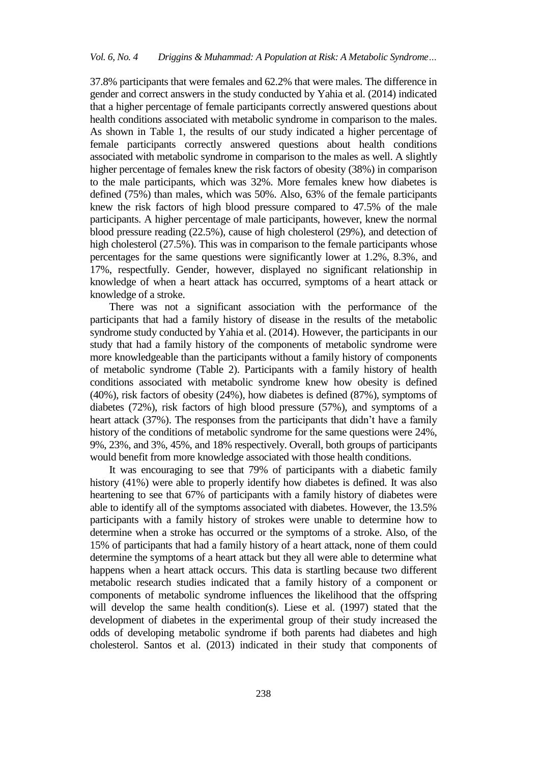37.8% participants that were females and 62.2% that were males. The difference in gender and correct answers in the study conducted by Yahia et al. (2014) indicated that a higher percentage of female participants correctly answered questions about health conditions associated with metabolic syndrome in comparison to the males. As shown in Table 1, the results of our study indicated a higher percentage of female participants correctly answered questions about health conditions associated with metabolic syndrome in comparison to the males as well. A slightly higher percentage of females knew the risk factors of obesity (38%) in comparison to the male participants, which was 32%. More females knew how diabetes is defined (75%) than males, which was 50%. Also, 63% of the female participants knew the risk factors of high blood pressure compared to 47.5% of the male participants. A higher percentage of male participants, however, knew the normal blood pressure reading (22.5%), cause of high cholesterol (29%), and detection of high cholesterol (27.5%). This was in comparison to the female participants whose percentages for the same questions were significantly lower at 1.2%, 8.3%, and 17%, respectfully. Gender, however, displayed no significant relationship in knowledge of when a heart attack has occurred, symptoms of a heart attack or knowledge of a stroke.

There was not a significant association with the performance of the participants that had a family history of disease in the results of the metabolic syndrome study conducted by Yahia et al. (2014). However, the participants in our study that had a family history of the components of metabolic syndrome were more knowledgeable than the participants without a family history of components of metabolic syndrome (Table 2). Participants with a family history of health conditions associated with metabolic syndrome knew how obesity is defined (40%), risk factors of obesity (24%), how diabetes is defined (87%), symptoms of diabetes (72%), risk factors of high blood pressure (57%), and symptoms of a heart attack (37%). The responses from the participants that didn't have a family history of the conditions of metabolic syndrome for the same questions were 24%, 9%, 23%, and 3%, 45%, and 18% respectively. Overall, both groups of participants would benefit from more knowledge associated with those health conditions.

It was encouraging to see that 79% of participants with a diabetic family history (41%) were able to properly identify how diabetes is defined. It was also heartening to see that 67% of participants with a family history of diabetes were able to identify all of the symptoms associated with diabetes. However, the 13.5% participants with a family history of strokes were unable to determine how to determine when a stroke has occurred or the symptoms of a stroke. Also, of the 15% of participants that had a family history of a heart attack, none of them could determine the symptoms of a heart attack but they all were able to determine what happens when a heart attack occurs. This data is startling because two different metabolic research studies indicated that a family history of a component or components of metabolic syndrome influences the likelihood that the offspring will develop the same health condition(s). Liese et al. (1997) stated that the development of diabetes in the experimental group of their study increased the odds of developing metabolic syndrome if both parents had diabetes and high cholesterol. Santos et al. (2013) indicated in their study that components of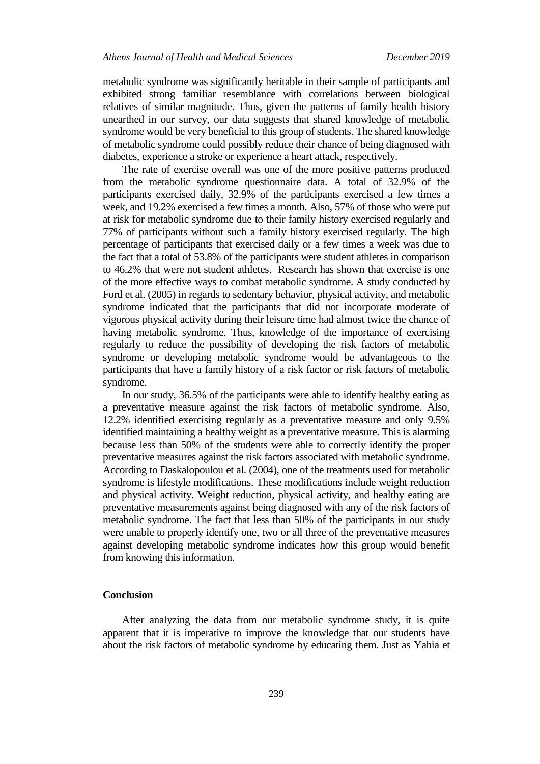metabolic syndrome was significantly heritable in their sample of participants and exhibited strong familiar resemblance with correlations between biological relatives of similar magnitude. Thus, given the patterns of family health history unearthed in our survey, our data suggests that shared knowledge of metabolic syndrome would be very beneficial to this group of students. The shared knowledge of metabolic syndrome could possibly reduce their chance of being diagnosed with diabetes, experience a stroke or experience a heart attack, respectively.

The rate of exercise overall was one of the more positive patterns produced from the metabolic syndrome questionnaire data. A total of 32.9% of the participants exercised daily, 32.9% of the participants exercised a few times a week, and 19.2% exercised a few times a month. Also, 57% of those who were put at risk for metabolic syndrome due to their family history exercised regularly and 77% of participants without such a family history exercised regularly. The high percentage of participants that exercised daily or a few times a week was due to the fact that a total of 53.8% of the participants were student athletes in comparison to 46.2% that were not student athletes. Research has shown that exercise is one of the more effective ways to combat metabolic syndrome. A study conducted by Ford et al. (2005) in regards to sedentary behavior, physical activity, and metabolic syndrome indicated that the participants that did not incorporate moderate of vigorous physical activity during their leisure time had almost twice the chance of having metabolic syndrome. Thus, knowledge of the importance of exercising regularly to reduce the possibility of developing the risk factors of metabolic syndrome or developing metabolic syndrome would be advantageous to the participants that have a family history of a risk factor or risk factors of metabolic syndrome.

In our study, 36.5% of the participants were able to identify healthy eating as a preventative measure against the risk factors of metabolic syndrome. Also, 12.2% identified exercising regularly as a preventative measure and only 9.5% identified maintaining a healthy weight as a preventative measure. This is alarming because less than 50% of the students were able to correctly identify the proper preventative measures against the risk factors associated with metabolic syndrome. According to Daskalopoulou et al. (2004), one of the treatments used for metabolic syndrome is lifestyle modifications. These modifications include weight reduction and physical activity. Weight reduction, physical activity, and healthy eating are preventative measurements against being diagnosed with any of the risk factors of metabolic syndrome. The fact that less than 50% of the participants in our study were unable to properly identify one, two or all three of the preventative measures against developing metabolic syndrome indicates how this group would benefit from knowing this information.

## **Conclusion**

After analyzing the data from our metabolic syndrome study, it is quite apparent that it is imperative to improve the knowledge that our students have about the risk factors of metabolic syndrome by educating them. Just as Yahia et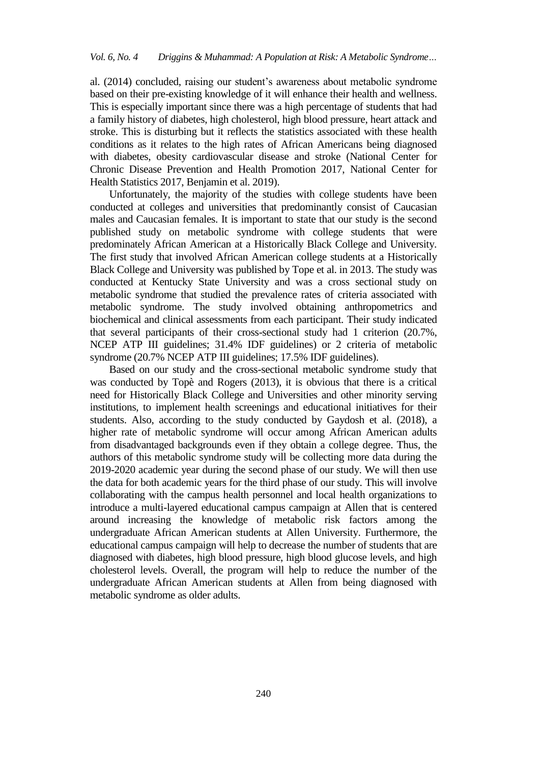al. (2014) concluded, raising our student's awareness about metabolic syndrome based on their pre-existing knowledge of it will enhance their health and wellness. This is especially important since there was a high percentage of students that had a family history of diabetes, high cholesterol, high blood pressure, heart attack and stroke. This is disturbing but it reflects the statistics associated with these health conditions as it relates to the high rates of African Americans being diagnosed with diabetes, obesity cardiovascular disease and stroke (National Center for Chronic Disease Prevention and Health Promotion 2017, National Center for Health Statistics 2017, Benjamin et al. 2019).

Unfortunately, the majority of the studies with college students have been conducted at colleges and universities that predominantly consist of Caucasian males and Caucasian females. It is important to state that our study is the second published study on metabolic syndrome with college students that were predominately African American at a Historically Black College and University. The first study that involved African American college students at a Historically Black College and University was published by Tope et al. in 2013. The study was conducted at Kentucky State University and was a cross sectional study on metabolic syndrome that studied the prevalence rates of criteria associated with metabolic syndrome. The study involved obtaining anthropometrics and biochemical and clinical assessments from each participant. Their study indicated that several participants of their cross-sectional study had 1 criterion (20.7%, NCEP ATP III guidelines; 31.4% IDF guidelines) or 2 criteria of metabolic syndrome (20.7% NCEP ATP III guidelines; 17.5% IDF guidelines).

Based on our study and the cross-sectional metabolic syndrome study that was conducted by Topè and Rogers (2013), it is obvious that there is a critical need for Historically Black College and Universities and other minority serving institutions, to implement health screenings and educational initiatives for their students. Also, according to the study conducted by Gaydosh et al. (2018), a higher rate of metabolic syndrome will occur among African American adults from disadvantaged backgrounds even if they obtain a college degree. Thus, the authors of this metabolic syndrome study will be collecting more data during the 2019-2020 academic year during the second phase of our study. We will then use the data for both academic years for the third phase of our study. This will involve collaborating with the campus health personnel and local health organizations to introduce a multi-layered educational campus campaign at Allen that is centered around increasing the knowledge of metabolic risk factors among the undergraduate African American students at Allen University. Furthermore, the educational campus campaign will help to decrease the number of students that are diagnosed with diabetes, high blood pressure, high blood glucose levels, and high cholesterol levels. Overall, the program will help to reduce the number of the undergraduate African American students at Allen from being diagnosed with metabolic syndrome as older adults.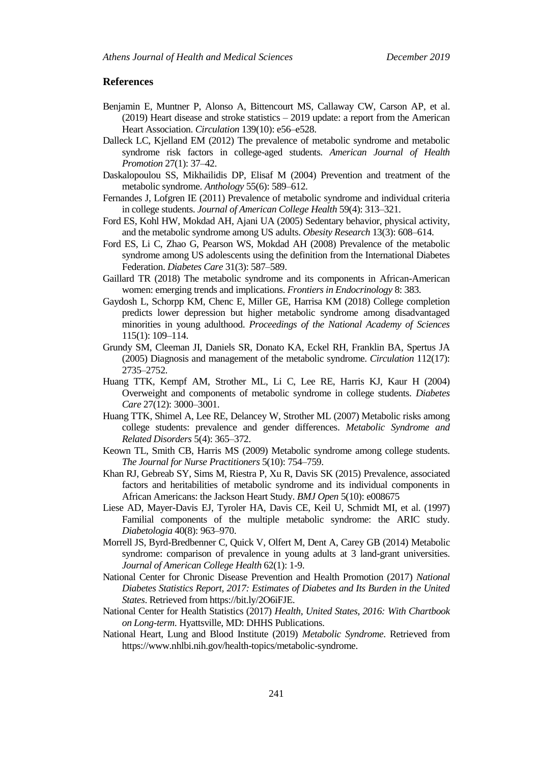## **References**

- Benjamin E, Muntner P, Alonso A, Bittencourt MS, Callaway CW, Carson AP, et al. (2019) Heart disease and stroke statistics – 2019 update: a report from the American Heart Association. *Circulation* 139(10): e56–e528.
- Dalleck LC, Kjelland EM (2012) The prevalence of metabolic syndrome and metabolic syndrome risk factors in college-aged students. *American Journal of Health Promotion* 27(1): 37–42.
- Daskalopoulou SS, Mikhailidis DP, Elisaf M (2004) Prevention and treatment of the metabolic syndrome. *Anthology* 55(6): 589–612.
- Fernandes J, Lofgren IE (2011) Prevalence of metabolic syndrome and individual criteria in college students. *Journal of American College Health* 59(4): 313–321.
- Ford ES, Kohl HW, Mokdad AH, Ajani UA (2005) Sedentary behavior, physical activity, and the metabolic syndrome among US adults. *Obesity Research* 13(3): 608–614.
- Ford ES, Li C, Zhao G, Pearson WS, Mokdad AH (2008) Prevalence of the metabolic syndrome among US adolescents using the definition from the International Diabetes Federation. *Diabetes Care* 31(3): 587–589.
- Gaillard TR (2018) The metabolic syndrome and its components in African-American women: emerging trends and implications. *Frontiers in Endocrinology* 8: 383.
- Gaydosh L, Schorpp KM, Chenc E, Miller GE, Harrisa KM (2018) College completion predicts lower depression but higher metabolic syndrome among disadvantaged minorities in young adulthood. *Proceedings of the National Academy of Sciences* 115(1): 109–114.
- Grundy SM, Cleeman JI, Daniels SR, Donato KA, Eckel RH, Franklin BA, Spertus JA (2005) Diagnosis and management of the metabolic syndrome. *Circulation* 112(17): 2735–2752.
- Huang TTK, Kempf AM, Strother ML, Li C, Lee RE, Harris KJ, Kaur H (2004) Overweight and components of metabolic syndrome in college students. *Diabetes Care* 27(12): 3000–3001.
- Huang TTK, Shimel A, Lee RE, Delancey W, Strother ML (2007) Metabolic risks among college students: prevalence and gender differences. *Metabolic Syndrome and Related Disorders* 5(4): 365–372.
- Keown TL, Smith CB, Harris MS (2009) Metabolic syndrome among college students. *The Journal for Nurse Practitioners* 5(10): 754–759.
- Khan RJ, Gebreab SY, Sims M, Riestra P, Xu R, Davis SK (2015) Prevalence, associated factors and heritabilities of metabolic syndrome and its individual components in African Americans: the Jackson Heart Study. *BMJ Open* 5(10): e008675
- Liese AD, Mayer-Davis EJ, Tyroler HA, Davis CE, Keil U, Schmidt MI, et al. (1997) Familial components of the multiple metabolic syndrome: the ARIC study. *Diabetologia* 40(8): 963–970.
- Morrell JS, Byrd-Bredbenner C, Quick V, Olfert M, Dent A, Carey GB (2014) Metabolic syndrome: comparison of prevalence in young adults at 3 land-grant universities. *Journal of American College Health* 62(1): 1-9.
- National Center for Chronic Disease Prevention and Health Promotion (2017) *National Diabetes Statistics Report, 2017: Estimates of Diabetes and Its Burden in the United States*. Retrieved from https://bit.ly/2O6iFJE.
- National Center for Health Statistics (2017) *Health, United States, 2016: With Chartbook on Long-term*. Hyattsville, MD: DHHS Publications.
- National Heart, Lung and Blood Institute (2019) *Metabolic Syndrome*. Retrieved from [https://www.nhlbi.nih.gov/health-topics/metabolic-syndrome.](https://www.nhlbi.nih.gov/health-topics/metabolic-syndrome)